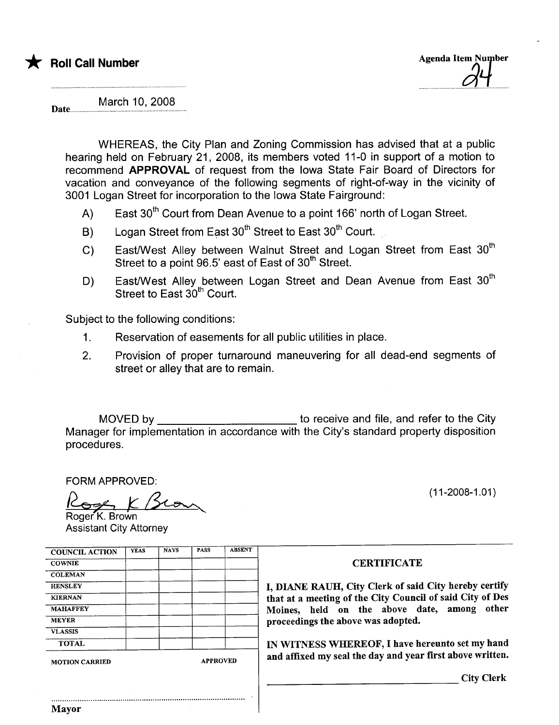Date.

March 10, 2008

WHEREAS, the City Plan and Zoning Commission has advised that at a public hearing held on February 21, 2008, its members voted 11-0 in support of a motion to recommend APPROVAL of request from the Iowa State Fair Board of Directors for vacation and conveyance of the following segments of right-of-way in the vicinity of 3001 Logan Street for incorporation to the Iowa State Fairground:

- A) East  $30<sup>th</sup>$  Court from Dean Avenue to a point 166' north of Logan Street.
- B) Logan Street from East 30<sup>th</sup> Street to East 30<sup>th</sup> Court.
- C) East/West Alley between Walnut Street and Logan Street from East 30<sup>th</sup> Street to a point 96.5' east of East of 30<sup>th</sup> Street.
- D) East/West Alley between Logan Street and Dean Avenue from East 30<sup>th</sup> Street to East  $30<sup>th</sup>$  Court.

Subject to the following conditions:

- 1. Reservation of easements for all public utilities in place.
- 2. Provision of proper turnaround maneuvering for all dead-end segments of street or alley that are to remain.

MOVED by to receive and file, and refer to the City Manager for implementation in accordance with the City's standard property disposition procedures.

FORM APPROVED:

Roger K. Brown FORM APPROVED:<br>Roger K. Brown<br>Roger K. Brown Assistant City Attorney

| <b>COUNCIL ACTION</b> | <b>YEAS</b> | <b>NAYS</b>     | <b>PASS</b> | <b>ABSENT</b> |  |
|-----------------------|-------------|-----------------|-------------|---------------|--|
| <b>COWNIE</b>         |             |                 |             |               |  |
| <b>COLEMAN</b>        |             |                 |             |               |  |
| <b>HENSLEY</b>        |             |                 |             |               |  |
| <b>KIERNAN</b>        |             |                 |             |               |  |
| <b>MAHAFFEY</b>       |             |                 |             |               |  |
| <b>MEYER</b>          |             |                 |             |               |  |
| <b>VLASSIS</b>        |             |                 |             |               |  |
| <b>TOTAL</b>          |             |                 |             |               |  |
| <b>MOTION CARRIED</b> |             | <b>APPROVED</b> |             |               |  |

#### **CERTIFICATE**

I, DIANE RAUH, City Clerk of said City hereby certify that at a meeting of the City Council of said City of Des Moines, held on the above date, among other proceedings the above was adopted.

IN WITNESS WHEREOF, I have hereunto set my hand and affixed my seal the day and year first above written.

City Clerk

# \* Roll Call Number : and Separate in the Separate Separate in the Separate Separate in the Separate Separate in the Separate Separate in the Separate Separate in the Separate Separate in the Separate in the Separate Separa

(11-2008-1.01)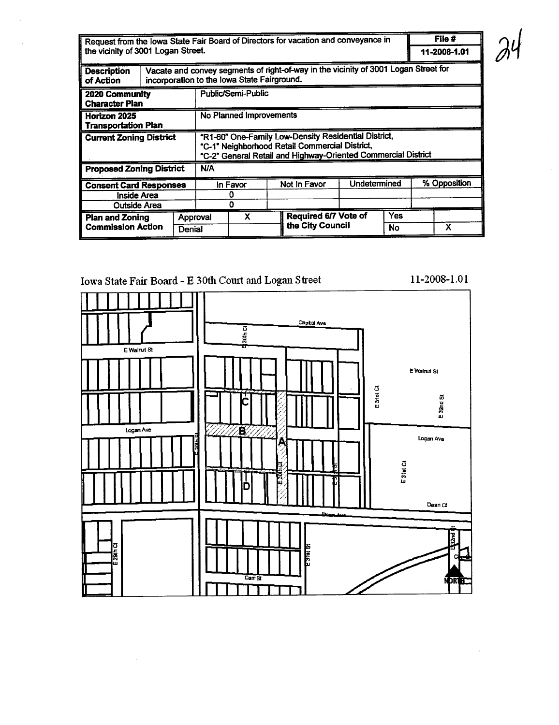| Request from the lowa State Fair Board of Directors for vacation and conveyance in |                     |                                                                                                                                                                         |            |   |              |                  | File #               |    |              |              |
|------------------------------------------------------------------------------------|---------------------|-------------------------------------------------------------------------------------------------------------------------------------------------------------------------|------------|---|--------------|------------------|----------------------|----|--------------|--------------|
| the vicinity of 3001 Logan Street.                                                 |                     |                                                                                                                                                                         |            |   |              |                  |                      |    |              | 11-2008-1.01 |
| <b>Description</b><br>of Action                                                    |                     | Vacate and convey segments of right-of-way in the vicinity of 3001 Logan Street for<br>incorporation to the lowa State Fairground.                                      |            |   |              |                  |                      |    |              |              |
| 2020 Community<br><b>Character Plan</b>                                            |                     | Public/Semi-Public                                                                                                                                                      |            |   |              |                  |                      |    |              |              |
| Horizon 2025<br><b>Transportation Plan</b>                                         |                     | No Planned Improvements                                                                                                                                                 |            |   |              |                  |                      |    |              |              |
| <b>Current Zoning District</b>                                                     |                     | "R1-60" One-Family Low-Density Residential District,<br>"C-1" Neighborhood Retail Commercial District,<br>"C-2" General Retail and Highway-Oriented Commercial District |            |   |              |                  |                      |    |              |              |
| <b>Proposed Zoning District</b>                                                    |                     |                                                                                                                                                                         | <b>N/A</b> |   |              |                  |                      |    |              |              |
| <b>Consent Card Responses</b>                                                      |                     |                                                                                                                                                                         | In Favor   |   | Not In Favor |                  | Undetermined         |    | % Opposition |              |
| Inside Area                                                                        |                     |                                                                                                                                                                         |            |   |              |                  |                      |    |              |              |
|                                                                                    | <b>Outside Area</b> |                                                                                                                                                                         | ი          |   |              |                  |                      |    |              |              |
| <b>Plan and Zoning</b>                                                             |                     | Approval                                                                                                                                                                |            | x |              |                  | Required 6/7 Vote of |    |              |              |
| <b>Commission Action</b>                                                           |                     | Denial                                                                                                                                                                  |            |   |              | the City Council |                      | No |              | X            |

## Iowa State Fair Board - E 30th Court and Logan Street

# Capitol Ave  $30<sub>th</sub>$ E Walnut St E Walnut St E 31st Ct E 32nd St Logan Ave Β Logan Ave l E31et Ct Ď Dean Ct 2rd ā DRI

11-2008-1.01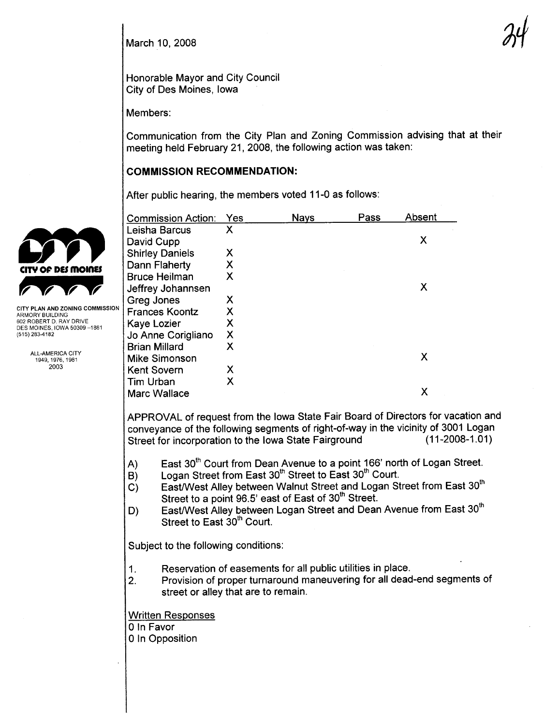March 10, 2008

Honorable Mayor and City Council City of Des Moines, Iowa

Members:

Communication from the City Plan and Zoning Commission advising that at their meeting held February 21,2008, the following action was taken:

#### COMMISSION RECOMMENDATION:

After public hearing, the members voted 11-0 as follows:

|                                                          | Commission Action:                                                                                                                                                                                                                                                                                                                                                                                                                                                                  | Yes                       | <b>Nays</b> | Pass | Absent                    |  |  |  |
|----------------------------------------------------------|-------------------------------------------------------------------------------------------------------------------------------------------------------------------------------------------------------------------------------------------------------------------------------------------------------------------------------------------------------------------------------------------------------------------------------------------------------------------------------------|---------------------------|-------------|------|---------------------------|--|--|--|
|                                                          | Leisha Barcus                                                                                                                                                                                                                                                                                                                                                                                                                                                                       | $\mathsf{X}$              |             |      |                           |  |  |  |
|                                                          | David Cupp                                                                                                                                                                                                                                                                                                                                                                                                                                                                          |                           |             |      | $\boldsymbol{\mathsf{X}}$ |  |  |  |
|                                                          | <b>Shirley Daniels</b>                                                                                                                                                                                                                                                                                                                                                                                                                                                              | X                         |             |      |                           |  |  |  |
| ITY OF DES MOINES                                        | Dann Flaherty                                                                                                                                                                                                                                                                                                                                                                                                                                                                       | X                         |             |      |                           |  |  |  |
|                                                          | <b>Bruce Heilman</b>                                                                                                                                                                                                                                                                                                                                                                                                                                                                | $\mathsf{X}$              |             |      |                           |  |  |  |
|                                                          | Jeffrey Johannsen                                                                                                                                                                                                                                                                                                                                                                                                                                                                   |                           |             |      | X                         |  |  |  |
|                                                          | Greg Jones                                                                                                                                                                                                                                                                                                                                                                                                                                                                          | X                         |             |      |                           |  |  |  |
| <b>CITY PLAN AND ZONING COMMISSION</b><br>RMORY BUILDING | <b>Frances Koontz</b>                                                                                                                                                                                                                                                                                                                                                                                                                                                               | X                         |             |      |                           |  |  |  |
| 602 ROBERT D. RAY DRIVE                                  | Kaye Lozier                                                                                                                                                                                                                                                                                                                                                                                                                                                                         | $\mathsf{X}$              |             |      |                           |  |  |  |
| DES MOINES, IOWA 50309-1881<br>(515) 283-4182            | Jo Anne Corigliano                                                                                                                                                                                                                                                                                                                                                                                                                                                                  | $\boldsymbol{\mathsf{X}}$ |             |      |                           |  |  |  |
|                                                          | <b>Brian Millard</b>                                                                                                                                                                                                                                                                                                                                                                                                                                                                | X                         |             |      |                           |  |  |  |
| ALL-AMERICA CITY<br>1949, 1976, 1981<br>2003             | <b>Mike Simonson</b>                                                                                                                                                                                                                                                                                                                                                                                                                                                                |                           |             |      | X                         |  |  |  |
|                                                          | <b>Kent Sovern</b>                                                                                                                                                                                                                                                                                                                                                                                                                                                                  | X                         |             |      |                           |  |  |  |
|                                                          | Tim Urban                                                                                                                                                                                                                                                                                                                                                                                                                                                                           | X                         |             |      |                           |  |  |  |
|                                                          | Marc Wallace                                                                                                                                                                                                                                                                                                                                                                                                                                                                        |                           |             |      | $\boldsymbol{\mathsf{X}}$ |  |  |  |
|                                                          |                                                                                                                                                                                                                                                                                                                                                                                                                                                                                     |                           |             |      |                           |  |  |  |
|                                                          | APPROVAL of request from the lowa State Fair Board of Directors for vacation and<br>conveyance of the following segments of right-of-way in the vicinity of 3001 Logan<br>$(11-2008-1.01)$<br>Street for incorporation to the Iowa State Fairground                                                                                                                                                                                                                                 |                           |             |      |                           |  |  |  |
|                                                          | East 30 <sup>th</sup> Court from Dean Avenue to a point 166' north of Logan Street.<br>A)<br>Logan Street from East 30 <sup>th</sup> Street to East 30 <sup>th</sup> Court.<br>B)<br>East/West Alley between Walnut Street and Logan Street from East 30 <sup>th</sup><br>C)<br>Street to a point 96.5' east of East of 30 <sup>th</sup> Street.<br>East/West Alley between Logan Street and Dean Avenue from East 30 <sup>th</sup><br>D)<br>Street to East 30 <sup>th</sup> Court. |                           |             |      |                           |  |  |  |
|                                                          | Subject to the following conditions:                                                                                                                                                                                                                                                                                                                                                                                                                                                |                           |             |      |                           |  |  |  |
|                                                          | Reservation of easements for all public utilities in place.<br>1.<br>Provision of proper turnaround maneuvering for all dead-end segments of<br>2.<br>street or alley that are to remain.                                                                                                                                                                                                                                                                                           |                           |             |      |                           |  |  |  |
|                                                          | <b>Written Responses</b><br>0 In Favor<br>0 In Opposition                                                                                                                                                                                                                                                                                                                                                                                                                           |                           |             |      |                           |  |  |  |

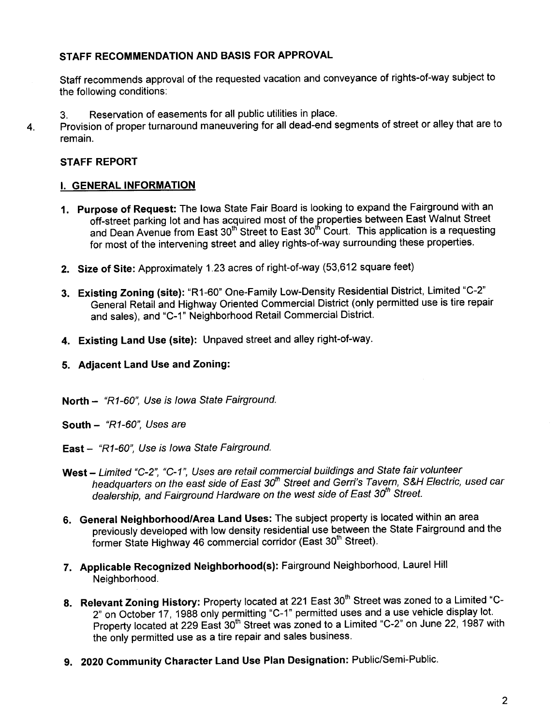#### STAFF RECOMMENDATION AND BASIS FOR APPROVAL

Staff recommends approval of the requested vacation and conveyance of rights-of-way subject to the following conditions:

- 3. Reservation of easements for all public utilities in place.
- 4. Provision of proper turnaround maneuvering for all dead-end segments of street or alley that are to remain.

#### STAFF REPORT

#### I. GENERAL INFORMATION

- 1. Purpose of Request: The Iowa State Fair Board is looking to expand the Fairground with an off-street parking lot and has acquired most of the properties between East Walnut Street and Dean Avenue from East 30<sup>th</sup> Street to East 30<sup>th</sup> Court. This application is a requesting for most of the intervening street and alley rights-of-way surrounding these properties.
- 2. Size of Site: Approximately 1.23 acres of right-of-way (53,612 square feet)
- 3. Existing Zoning (site): "R1-60" One-Family Low-Density Residential District, Limited "C-2" General Retail and Highway Oriented Commercial District (only permitted use is tire repair and sales), and "C-1" Neighborhood Retail Commercial District.
- 4. Existing Land Use (site): Unpaved street and alley right-of-way.
- 5. Adjacent Land Use and Zoning:
- North "R1-60", Use is Iowa State Fairground.
- South "R1-60", Uses are
- East "R1-60", Use is Iowa State Fairground.
- West Limited "C-2", "C-1", Uses are retail commercial buildings and State fair volunteer headquarters on the east side of East 30<sup>th</sup> Street and Gerri's Tavern, S&H Electric, used car dealership, and Fairground Hardware on the west side of East 30<sup>th</sup> Street.
- 6. General Neighborhood/Area Land Uses: The subject property is located within an area previously developed with low density residential use between the State Fairground and the former State Highway 46 commercial corridor (East 30<sup>th</sup> Street).
- 7. Applicable Recognized Neighborhood(s): Fairground Neighborhood, Laurel Hil Neighborhood.
- 8. Relevant Zoning History: Property located at 221 East 30<sup>th</sup> Street was zoned to a Limited "C-2" on October 17, 1988 only permitting "C-1" permitted uses and a use vehicle display lot. Property located at 229 East 30<sup>th</sup> Street was zoned to a Limited "C-2" on June 22, 1987 with the only permitted use as a tire repair and sales business.
- 9. 2020 Community Character Land Use Plan Designation: Public/Semi-Public.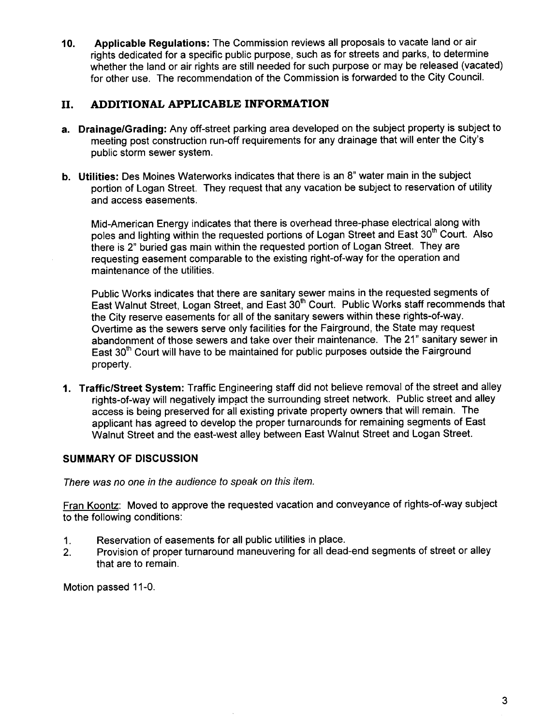10. Applicable Regulations: The Commission reviews all proposals to vacate land or air rights dedicated for a specific public purpose, such as for streets and parks, to determine whether the land or air rights are still needed for such purpose or may be released (vacated) for other use. The recommendation of the Commission is forwarded to the City CounciL.

### II. ADDITIONAL APPLICABLE INFORMATION

- a. Drainage/Grading: Any off-street parking area developed on the subject property is subject to meeting post construction run-off requirements for any drainage that will enter the City's public storm sewer system.
- b. Utilities: Des Moines Waterworks indicates that there is an 8" water main in the subject portion of Logan Street. They request that any vacation be subject to reservation of utilty and access easements.

Mid-American Energy indicates that there is overhead three-phase electrical along with poles and lighting within the requested portions of Logan Street and East 30<sup>th</sup> Court. Also there is 2" buried gas main within the requested portion of Logan Street. They are requesting easement comparable to the existing right-of-way for the operation and maintenance of the utilities.

Public Works indicates that there are sanitary sewer mains in the requested segments of East Walnut Street, Logan Street, and East 30<sup>th</sup> Court. Public Works staff recommends that the City reserve easements for all of the sanitary sewers within these rights-of-way. Overtime as the sewers serve only facilities for the Fairground, the State may request abandonment of those sewers and take over their maintenance. The 21" sanitary sewer in East  $30<sup>th</sup>$  Court will have to be maintained for public purposes outside the Fairground property.

1. Traffic/Street System: Traffic Engineering staff did not believe removal of the street and alley rights-of-way will negatively impact the surrounding street network. Public street and alley access is being preserved for all existing private property owners that will remain. The applicant has agreed to develop the proper turnarounds for remaining segments of East Walnut Street and the east-west alley between East Walnut Street and Logan Street.

#### SUMMARY OF DISCUSSION

There was no one in the audience to speak on this item.

Fran Koontz: Moved to approve the requested vacation and conveyance of rights-of-way subject to the following conditions:

- 1. Reservation of easements for all public utilities in place.
- 2. Provision of proper turnaround maneuvering for all dead-end segments of street or alley that are to remain.

Motion passed 11-0.